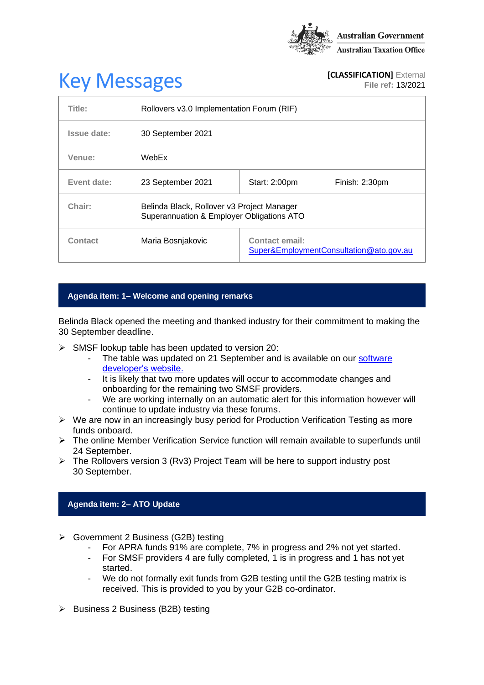

# **Key Messages [CLASSIFICATION]** External **[CLASSIFICATION]** External

**File ref:** 13/2021

| Title:      | Rollovers v3.0 Implementation Forum (RIF)                                               |                                                                  |                |
|-------------|-----------------------------------------------------------------------------------------|------------------------------------------------------------------|----------------|
| Issue date: | 30 September 2021                                                                       |                                                                  |                |
| Venue:      | WebEx                                                                                   |                                                                  |                |
| Event date: | 23 September 2021                                                                       | Start: 2:00pm                                                    | Finish: 2:30pm |
| Chair:      | Belinda Black, Rollover v3 Project Manager<br>Superannuation & Employer Obligations ATO |                                                                  |                |
| Contact     | Maria Bosnjakovic                                                                       | <b>Contact email:</b><br>Super&EmploymentConsultation@ato.gov.au |                |

## **Agenda item: 1– Welcome and opening remarks**

Belinda Black opened the meeting and thanked industry for their commitment to making the 30 September deadline.

- ➢ SMSF lookup table has been updated to version 20:
	- The table was updated on 21 September and is available on our software [developer's website.](https://softwaredevelopers.ato.gov.au/supervalidationservices)
	- It is likely that two more updates will occur to accommodate changes and onboarding for the remaining two SMSF providers.
	- We are working internally on an automatic alert for this information however will continue to update industry via these forums.
- ➢ We are now in an increasingly busy period for Production Verification Testing as more funds onboard.
- ➢ The online Member Verification Service function will remain available to superfunds until 24 September.
- ➢ The Rollovers version 3 (Rv3) Project Team will be here to support industry post 30 September.

## **Agenda item: 2– ATO Update**

- ➢ Government 2 Business (G2B) testing
	- For APRA funds 91% are complete, 7% in progress and 2% not yet started.
	- For SMSF providers 4 are fully completed, 1 is in progress and 1 has not yet started.
	- We do not formally exit funds from G2B testing until the G2B testing matrix is received. This is provided to you by your G2B co-ordinator.
- ➢ Business 2 Business (B2B) testing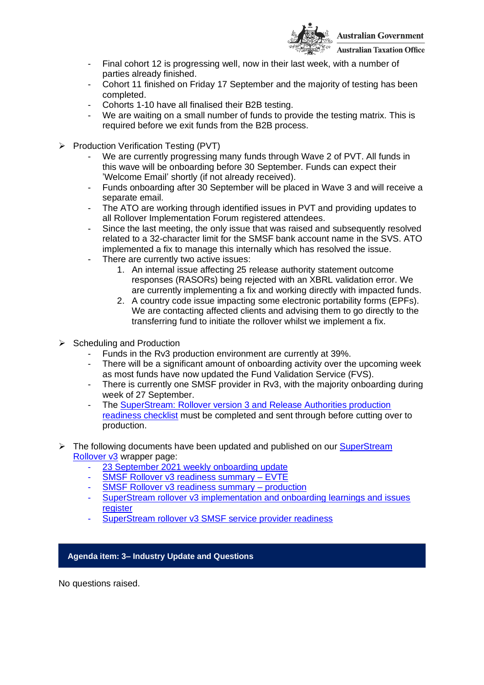

- **Australian Taxation Office**
- Final cohort 12 is progressing well, now in their last week, with a number of parties already finished.
- Cohort 11 finished on Friday 17 September and the majority of testing has been completed.
- Cohorts 1-10 have all finalised their B2B testing.
- We are waiting on a small number of funds to provide the testing matrix. This is required before we exit funds from the B2B process.
- ➢ Production Verification Testing (PVT)
	- We are currently progressing many funds through Wave 2 of PVT. All funds in this wave will be onboarding before 30 September. Funds can expect their 'Welcome Email' shortly (if not already received).
	- Funds onboarding after 30 September will be placed in Wave 3 and will receive a separate email.
	- The ATO are working through identified issues in PVT and providing updates to all Rollover Implementation Forum registered attendees.
	- Since the last meeting, the only issue that was raised and subsequently resolved related to a 32-character limit for the SMSF bank account name in the SVS. ATO implemented a fix to manage this internally which has resolved the issue.
	- There are currently two active issues:
		- 1. An internal issue affecting 25 release authority statement outcome responses (RASORs) being rejected with an XBRL validation error. We are currently implementing a fix and working directly with impacted funds.
		- 2. A country code issue impacting some electronic portability forms (EPFs). We are contacting affected clients and advising them to go directly to the transferring fund to initiate the rollover whilst we implement a fix.
- ➢ Scheduling and Production
	- Funds in the Rv3 production environment are currently at 39%.
	- There will be a significant amount of onboarding activity over the upcoming week as most funds have now updated the Fund Validation Service (FVS).
	- There is currently one SMSF provider in Rv3, with the majority onboarding during week of 27 September.
	- The SuperStream: Rollover version 3 and Release Authorities production [readiness checklist](https://www.ato.gov.au/Super/Sup/SuperStream-Rollover-v3?anchor=SuperStreamRolloverversion3andReleaseAut#SuperStreamRolloverversion3andReleaseAut) must be completed and sent through before cutting over to production.
- ➢ The following documents have been updated and published on our [SuperStream](https://www.ato.gov.au/Super/Sup/SuperStream-Rollover-v3/)  [Rollover v3](https://www.ato.gov.au/Super/Sup/SuperStream-Rollover-v3/) wrapper page:
	- 23 September [2021 weekly onboarding update](https://www.ato.gov.au/uploadedFiles/Content/SPR/downloads/23_September_2021.pdf)
	- SMSF Rollover v3 readiness summary EVTE
	- [SMSF Rollover v3 readiness summary –](https://www.ato.gov.au/uploadedFiles/Content/SPR/downloads/smsf_rollover_v3_readiness_summary_production.pdf) production
	- [SuperStream rollover v3 implementation and onboarding learnings and issues](https://www.ato.gov.au/uploadedFiles/Content/SPR/downloads/SuperStream_Rollovers_v3_Implementation_and_onboarding_learning_and_issues_register.pdf)  [register](https://www.ato.gov.au/uploadedFiles/Content/SPR/downloads/SuperStream_Rollovers_v3_Implementation_and_onboarding_learning_and_issues_register.pdf)
	- [SuperStream rollover v3 SMSF service provider readiness](https://www.ato.gov.au/uploadedFiles/Content/SPR/downloads/SuperStream_Rollover_v3_SMSF_service_provider_readiness.pdf)

## **Agenda item: 3– Industry Update and Questions**

No questions raised.